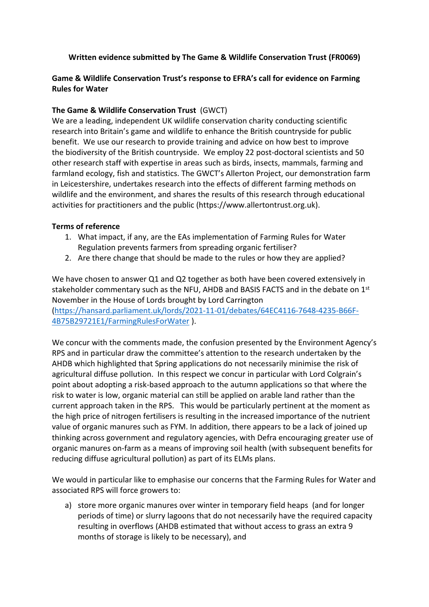## **Written evidence submitted by The Game & Wildlife Conservation Trust (FR0069)**

## **Game & Wildlife Conservation Trust's response to EFRA's call for evidence on Farming Rules for Water**

## **The Game & Wildlife Conservation Trust**(GWCT)

We are a leading, independent UK wildlife conservation charity conducting scientific research into Britain's game and wildlife to enhance the British countryside for public benefit.  We use our research to provide training and advice on how best to improve the biodiversity of the British countryside.  We employ 22 post-doctoral scientists and 50 other research staff with expertise in areas such as birds, insects, mammals, farming and farmland ecology, fish and statistics. The GWCT's Allerton Project, our demonstration farm in Leicestershire, undertakes research into the effects of different farming methods on wildlife and the environment, and shares the results of this research through educational activities for practitioners and the public (https://www.allertontrust.org.uk).  

## **Terms of reference**

- 1. What impact, if any, are the EAs implementation of Farming Rules for Water Regulation prevents farmers from spreading organic fertiliser?
- 2. Are there change that should be made to the rules or how they are applied?

We have chosen to answer Q1 and Q2 together as both have been covered extensively in stakeholder commentary such as the NFU, AHDB and BASIS FACTS and in the debate on  $1<sup>st</sup>$ November in the House of Lords brought by Lord Carrington ([https://hansard.parliament.uk/lords/2021-11-01/debates/64EC4116-7648-4235-B66F-](https://hansard.parliament.uk/lords/2021-11-01/debates/64EC4116-7648-4235-B66F-4B75B29721E1/FarmingRulesForWater)[4B75B29721E1/FarmingRulesForWater](https://hansard.parliament.uk/lords/2021-11-01/debates/64EC4116-7648-4235-B66F-4B75B29721E1/FarmingRulesForWater) ).

We concur with the comments made, the confusion presented by the Environment Agency's RPS and in particular draw the committee's attention to the research undertaken by the AHDB which highlighted that Spring applications do not necessarily minimise the risk of agricultural diffuse pollution. In this respect we concur in particular with Lord Colgrain's point about adopting a risk-based approach to the autumn applications so that where the risk to water is low, organic material can still be applied on arable land rather than the current approach taken in the RPS. This would be particularly pertinent at the moment as the high price of nitrogen fertilisers is resulting in the increased importance of the nutrient value of organic manures such as FYM. In addition, there appears to be a lack of joined up thinking across government and regulatory agencies, with Defra encouraging greater use of organic manures on-farm as a means of improving soil health (with subsequent benefits for reducing diffuse agricultural pollution) as part of its ELMs plans.

We would in particular like to emphasise our concerns that the Farming Rules for Water and associated RPS will force growers to:

a) store more organic manures over winter in temporary field heaps (and for longer periods of time) or slurry lagoons that do not necessarily have the required capacity resulting in overflows (AHDB estimated that without access to grass an extra 9 months of storage is likely to be necessary), and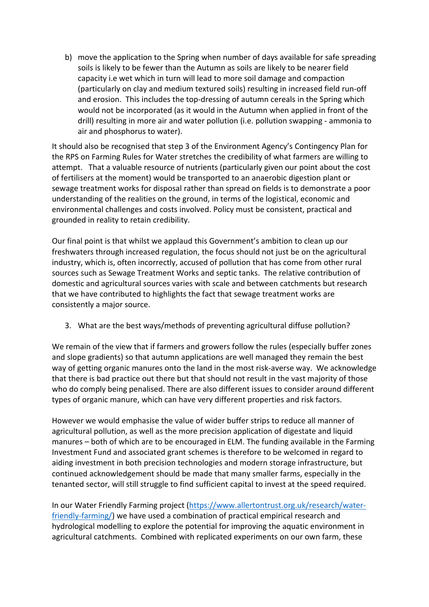b) move the application to the Spring when number of days available for safe spreading soils is likely to be fewer than the Autumn as soils are likely to be nearer field capacity i.e wet which in turn will lead to more soil damage and compaction (particularly on clay and medium textured soils) resulting in increased field run-off and erosion. This includes the top-dressing of autumn cereals in the Spring which would not be incorporated (as it would in the Autumn when applied in front of the drill) resulting in more air and water pollution (i.e. pollution swapping - ammonia to air and phosphorus to water).

It should also be recognised that step 3 of the Environment Agency's Contingency Plan for the RPS on Farming Rules for Water stretches the credibility of what farmers are willing to attempt. That a valuable resource of nutrients (particularly given our point about the cost of fertilisers at the moment) would be transported to an anaerobic digestion plant or sewage treatment works for disposal rather than spread on fields is to demonstrate a poor understanding of the realities on the ground, in terms of the logistical, economic and environmental challenges and costs involved. Policy must be consistent, practical and grounded in reality to retain credibility.

Our final point is that whilst we applaud this Government's ambition to clean up our freshwaters through increased regulation, the focus should not just be on the agricultural industry, which is, often incorrectly, accused of pollution that has come from other rural sources such as Sewage Treatment Works and septic tanks. The relative contribution of domestic and agricultural sources varies with scale and between catchments but research that we have contributed to highlights the fact that sewage treatment works are consistently a major source.

3. What are the best ways/methods of preventing agricultural diffuse pollution?

We remain of the view that if farmers and growers follow the rules (especially buffer zones and slope gradients) so that autumn applications are well managed they remain the best way of getting organic manures onto the land in the most risk-averse way. We acknowledge that there is bad practice out there but that should not result in the vast majority of those who do comply being penalised. There are also different issues to consider around different types of organic manure, which can have very different properties and risk factors.

However we would emphasise the value of wider buffer strips to reduce all manner of agricultural pollution, as well as the more precision application of digestate and liquid manures – both of which are to be encouraged in ELM. The funding available in the Farming Investment Fund and associated grant schemes is therefore to be welcomed in regard to aiding investment in both precision technologies and modern storage infrastructure, but continued acknowledgement should be made that many smaller farms, especially in the tenanted sector, will still struggle to find sufficient capital to invest at the speed required.

In our Water Friendly Farming project [\(https://www.allertontrust.org.uk/research/water](https://www.allertontrust.org.uk/research/water-friendly-farming/)[friendly-farming/\)](https://www.allertontrust.org.uk/research/water-friendly-farming/) we have used a combination of practical empirical research and hydrological modelling to explore the potential for improving the aquatic environment in agricultural catchments. Combined with replicated experiments on our own farm, these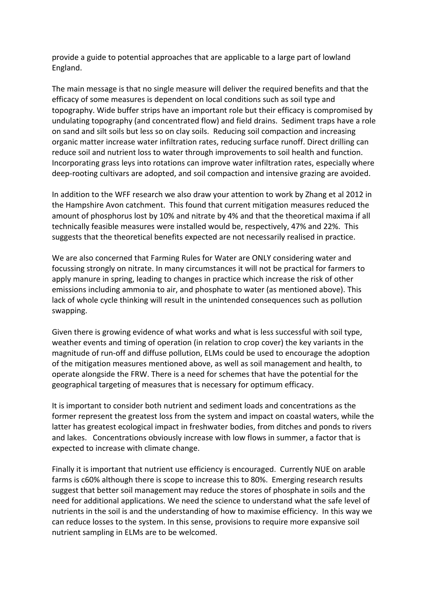provide a guide to potential approaches that are applicable to a large part of lowland England.

The main message is that no single measure will deliver the required benefits and that the efficacy of some measures is dependent on local conditions such as soil type and topography. Wide buffer strips have an important role but their efficacy is compromised by undulating topography (and concentrated flow) and field drains. Sediment traps have a role on sand and silt soils but less so on clay soils. Reducing soil compaction and increasing organic matter increase water infiltration rates, reducing surface runoff. Direct drilling can reduce soil and nutrient loss to water through improvements to soil health and function. Incorporating grass leys into rotations can improve water infiltration rates, especially where deep-rooting cultivars are adopted, and soil compaction and intensive grazing are avoided.

In addition to the WFF research we also draw your attention to work by Zhang et al 2012 in the Hampshire Avon catchment. This found that current mitigation measures reduced the amount of phosphorus lost by 10% and nitrate by 4% and that the theoretical maxima if all technically feasible measures were installed would be, respectively, 47% and 22%. This suggests that the theoretical benefits expected are not necessarily realised in practice.

We are also concerned that Farming Rules for Water are ONLY considering water and focussing strongly on nitrate. In many circumstances it will not be practical for farmers to apply manure in spring, leading to changes in practice which increase the risk of other emissions including ammonia to air, and phosphate to water (as mentioned above). This lack of whole cycle thinking will result in the unintended consequences such as pollution swapping.

Given there is growing evidence of what works and what is less successful with soil type, weather events and timing of operation (in relation to crop cover) the key variants in the magnitude of run-off and diffuse pollution, ELMs could be used to encourage the adoption of the mitigation measures mentioned above, as well as soil management and health, to operate alongside the FRW. There is a need for schemes that have the potential for the geographical targeting of measures that is necessary for optimum efficacy.

It is important to consider both nutrient and sediment loads and concentrations as the former represent the greatest loss from the system and impact on coastal waters, while the latter has greatest ecological impact in freshwater bodies, from ditches and ponds to rivers and lakes. Concentrations obviously increase with low flows in summer, a factor that is expected to increase with climate change.

Finally it is important that nutrient use efficiency is encouraged. Currently NUE on arable farms is c60% although there is scope to increase this to 80%. Emerging research results suggest that better soil management may reduce the stores of phosphate in soils and the need for additional applications. We need the science to understand what the safe level of nutrients in the soil is and the understanding of how to maximise efficiency. In this way we can reduce losses to the system. In this sense, provisions to require more expansive soil nutrient sampling in ELMs are to be welcomed.